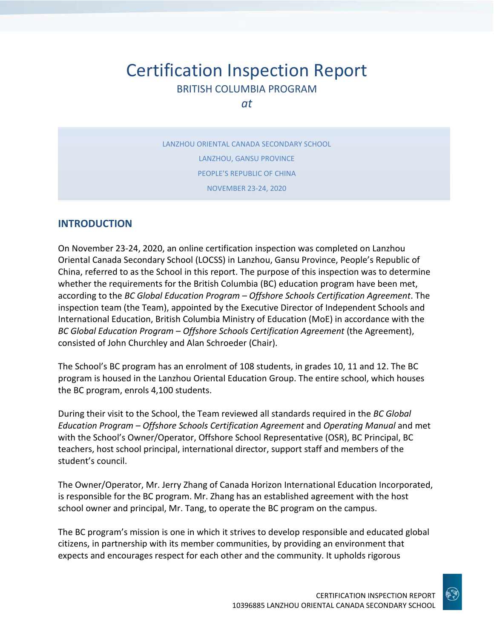# Certification Inspection Report BRITISH COLUMBIA PROGRAM

*at*

LANZHOU ORIENTAL CANADA SECONDARY SCHOOL LANZHOU, GANSU PROVINCE PEOPLE'S REPUBLIC OF CHINA NOVEMBER 23-24, 2020

## **INTRODUCTION**

On November 23-24, 2020, an online certification inspection was completed on Lanzhou Oriental Canada Secondary School (LOCSS) in Lanzhou, Gansu Province, People's Republic of China, referred to as the School in this report. The purpose of this inspection was to determine whether the requirements for the British Columbia (BC) education program have been met, according to the *BC Global Education Program – Offshore Schools Certification Agreement*. The inspection team (the Team), appointed by the Executive Director of Independent Schools and International Education, British Columbia Ministry of Education (MoE) in accordance with the *BC Global Education Program – Offshore Schools Certification Agreement* (the Agreement), consisted of John Churchley and Alan Schroeder (Chair).

The School's BC program has an enrolment of 108 students, in grades 10, 11 and 12. The BC program is housed in the Lanzhou Oriental Education Group. The entire school, which houses the BC program, enrols 4,100 students.

During their visit to the School, the Team reviewed all standards required in the *BC Global Education Program – Offshore Schools Certification Agreement* and *Operating Manual* and met with the School's Owner/Operator, Offshore School Representative (OSR), BC Principal, BC teachers, host school principal, international director, support staff and members of the student's council.

The Owner/Operator, Mr. Jerry Zhang of Canada Horizon International Education Incorporated, is responsible for the BC program. Mr. Zhang has an established agreement with the host school owner and principal, Mr. Tang, to operate the BC program on the campus.

The BC program's mission is one in which it strives to develop responsible and educated global citizens, in partnership with its member communities, by providing an environment that expects and encourages respect for each other and the community. It upholds rigorous

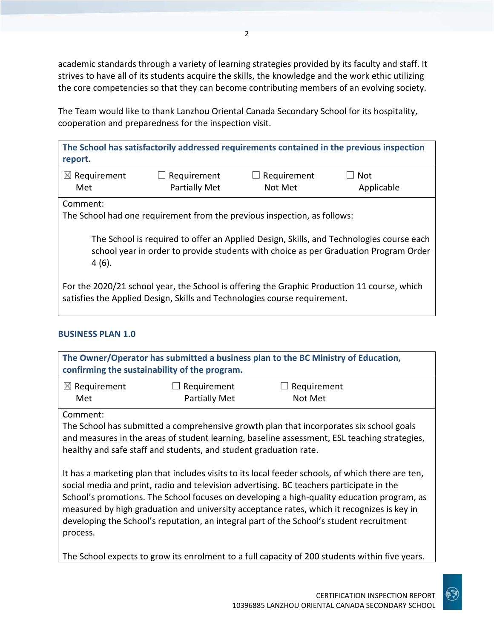academic standards through a variety of learning strategies provided by its faculty and staff. It strives to have all of its students acquire the skills, the knowledge and the work ethic utilizing the core competencies so that they can become contributing members of an evolving society.

The Team would like to thank Lanzhou Oriental Canada Secondary School for its hospitality, cooperation and preparedness for the inspection visit.

| report.                 |                      |                    | The School has satisfactorily addressed requirements contained in the previous inspection |
|-------------------------|----------------------|--------------------|-------------------------------------------------------------------------------------------|
| $\boxtimes$ Requirement | $\Box$ Requirement   | $\Box$ Requirement | $\Box$ Not                                                                                |
| Met                     | <b>Partially Met</b> | Not Met            | Applicable                                                                                |

Comment:

The School had one requirement from the previous inspection, as follows:

The School is required to offer an Applied Design, Skills, and Technologies course each school year in order to provide students with choice as per Graduation Program Order 4 (6).

For the 2020/21 school year, the School is offering the Graphic Production 11 course, which satisfies the Applied Design, Skills and Technologies course requirement.

### **BUSINESS PLAN 1.0**

process.

| The Owner/Operator has submitted a business plan to the BC Ministry of Education,<br>confirming the sustainability of the program.                                                                                                                                                                                                                                                                                                                                                    |                                                                   |                                                                                                                                                                                         |  |
|---------------------------------------------------------------------------------------------------------------------------------------------------------------------------------------------------------------------------------------------------------------------------------------------------------------------------------------------------------------------------------------------------------------------------------------------------------------------------------------|-------------------------------------------------------------------|-----------------------------------------------------------------------------------------------------------------------------------------------------------------------------------------|--|
| $\boxtimes$ Requirement                                                                                                                                                                                                                                                                                                                                                                                                                                                               | Requirement                                                       | Requirement                                                                                                                                                                             |  |
| Met                                                                                                                                                                                                                                                                                                                                                                                                                                                                                   | <b>Partially Met</b>                                              | Not Met                                                                                                                                                                                 |  |
| Comment:                                                                                                                                                                                                                                                                                                                                                                                                                                                                              | healthy and safe staff and students, and student graduation rate. | The School has submitted a comprehensive growth plan that incorporates six school goals<br>and measures in the areas of student learning, baseline assessment, ESL teaching strategies, |  |
| It has a marketing plan that includes visits to its local feeder schools, of which there are ten,<br>social media and print, radio and television advertising. BC teachers participate in the<br>School's promotions. The School focuses on developing a high-quality education program, as<br>measured by high graduation and university acceptance rates, which it recognizes is key in<br>developing the School's reputation, an integral part of the School's student recruitment |                                                                   |                                                                                                                                                                                         |  |

The School expects to grow its enrolment to a full capacity of 200 students within five years.

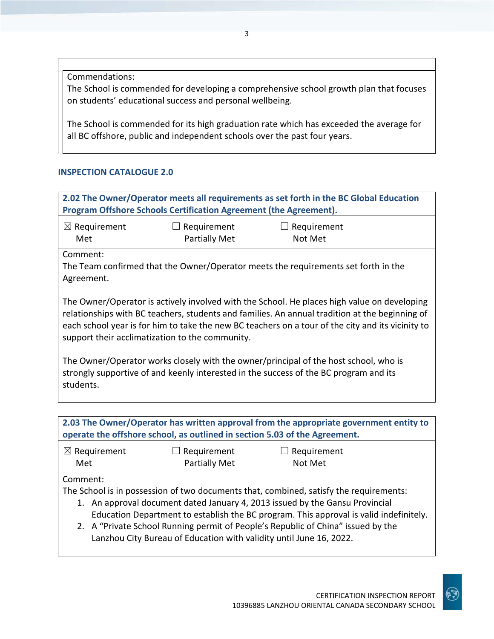Commendations:

The School is commended for developing a comprehensive school growth plan that focuses on students' educational success and personal wellbeing.

The School is commended for its high graduation rate which has exceeded the average for all BC offshore, public and independent schools over the past four years.

### **INSPECTION CATALOGUE 2.0**

**2.02 The Owner/Operator meets all requirements as set forth in the BC Global Education Program Offshore Schools Certification Agreement (the Agreement).** ☒ Requirement Met  $\Box$  Requirement Partially Met  $\Box$  Requirement Not Met Comment: The Team confirmed that the Owner/Operator meets the requirements set forth in the Agreement. The Owner/Operator is actively involved with the School. He places high value on developing relationships with BC teachers, students and families. An annual tradition at the beginning of each school year is for him to take the new BC teachers on a tour of the city and its vicinity to support their acclimatization to the community. The Owner/Operator works closely with the owner/principal of the host school, who is strongly supportive of and keenly interested in the success of the BC program and its students.

**2.03 The Owner/Operator has written approval from the appropriate government entity to operate the offshore school, as outlined in section 5.03 of the Agreement.**

| $\boxtimes$ Requirement | $\Box$ Requirement   | $\Box$ Requirement |  |
|-------------------------|----------------------|--------------------|--|
| Met                     | <b>Partially Met</b> | Not Met            |  |

### Comment:

The School is in possession of two documents that, combined, satisfy the requirements:

- 1. An approval document dated January 4, 2013 issued by the Gansu Provincial Education Department to establish the BC program. This approval is valid indefinitely.
- 2. A "Private School Running permit of People's Republic of China" issued by the Lanzhou City Bureau of Education with validity until June 16, 2022.

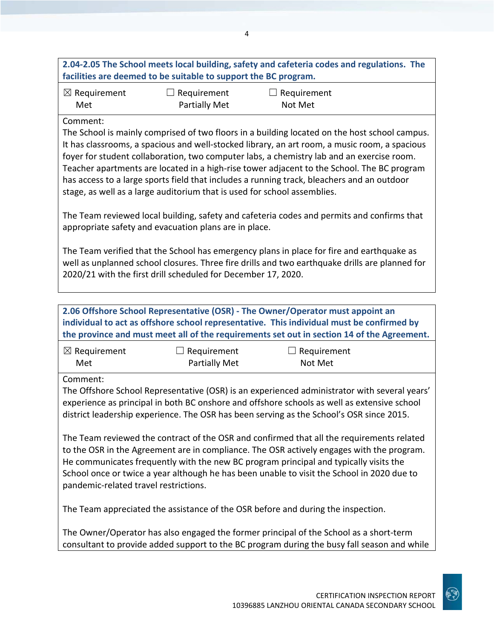|                                                                                                                                                                                                                                                                                                                                                                                                                        | facilities are deemed to be suitable to support the BC program.          | 2.04-2.05 The School meets local building, safety and cafeteria codes and regulations. The                                                                                                                                                                                                                                                                                                                                                                                              |  |
|------------------------------------------------------------------------------------------------------------------------------------------------------------------------------------------------------------------------------------------------------------------------------------------------------------------------------------------------------------------------------------------------------------------------|--------------------------------------------------------------------------|-----------------------------------------------------------------------------------------------------------------------------------------------------------------------------------------------------------------------------------------------------------------------------------------------------------------------------------------------------------------------------------------------------------------------------------------------------------------------------------------|--|
| $\boxtimes$ Requirement<br>Met                                                                                                                                                                                                                                                                                                                                                                                         | Requirement<br><b>Partially Met</b>                                      | $\Box$ Requirement<br>Not Met                                                                                                                                                                                                                                                                                                                                                                                                                                                           |  |
| Comment:                                                                                                                                                                                                                                                                                                                                                                                                               | stage, as well as a large auditorium that is used for school assemblies. | The School is mainly comprised of two floors in a building located on the host school campus.<br>It has classrooms, a spacious and well-stocked library, an art room, a music room, a spacious<br>foyer for student collaboration, two computer labs, a chemistry lab and an exercise room.<br>Teacher apartments are located in a high-rise tower adjacent to the School. The BC program<br>has access to a large sports field that includes a running track, bleachers and an outdoor |  |
|                                                                                                                                                                                                                                                                                                                                                                                                                        | appropriate safety and evacuation plans are in place.                    | The Team reviewed local building, safety and cafeteria codes and permits and confirms that                                                                                                                                                                                                                                                                                                                                                                                              |  |
|                                                                                                                                                                                                                                                                                                                                                                                                                        | 2020/21 with the first drill scheduled for December 17, 2020.            | The Team verified that the School has emergency plans in place for fire and earthquake as<br>well as unplanned school closures. Three fire drills and two earthquake drills are planned for                                                                                                                                                                                                                                                                                             |  |
|                                                                                                                                                                                                                                                                                                                                                                                                                        |                                                                          | 2.06 Offshore School Representative (OSR) - The Owner/Operator must appoint an<br>individual to act as offshore school representative. This individual must be confirmed by<br>the province and must meet all of the requirements set out in section 14 of the Agreement.                                                                                                                                                                                                               |  |
| $\boxtimes$ Requirement<br>Met                                                                                                                                                                                                                                                                                                                                                                                         | $\Box$ Requirement<br>Partially Met                                      | $\Box$ Requirement<br>Not Met                                                                                                                                                                                                                                                                                                                                                                                                                                                           |  |
| Comment:                                                                                                                                                                                                                                                                                                                                                                                                               |                                                                          | The Offshore School Representative (OSR) is an experienced administrator with several years'<br>experience as principal in both BC onshore and offshore schools as well as extensive school<br>district leadership experience. The OSR has been serving as the School's OSR since 2015.                                                                                                                                                                                                 |  |
| The Team reviewed the contract of the OSR and confirmed that all the requirements related<br>to the OSR in the Agreement are in compliance. The OSR actively engages with the program.<br>He communicates frequently with the new BC program principal and typically visits the<br>School once or twice a year although he has been unable to visit the School in 2020 due to<br>pandemic-related travel restrictions. |                                                                          |                                                                                                                                                                                                                                                                                                                                                                                                                                                                                         |  |
|                                                                                                                                                                                                                                                                                                                                                                                                                        |                                                                          | The Team appreciated the assistance of the OSR before and during the inspection.                                                                                                                                                                                                                                                                                                                                                                                                        |  |
|                                                                                                                                                                                                                                                                                                                                                                                                                        |                                                                          | The Owner/Operator has also engaged the former principal of the School as a short-term<br>consultant to provide added support to the BC program during the busy fall season and while                                                                                                                                                                                                                                                                                                   |  |

4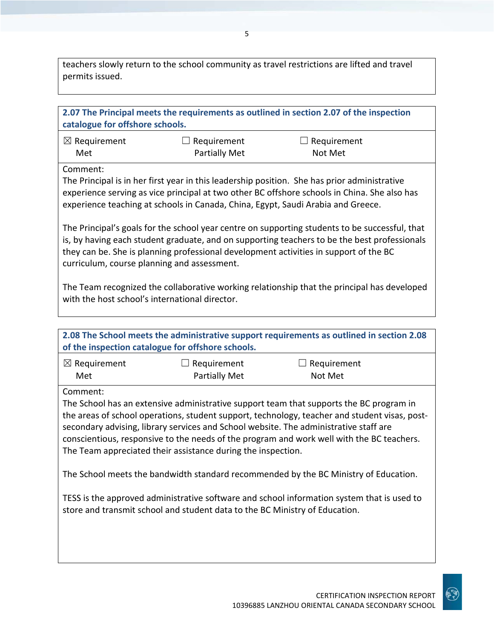teachers slowly return to the school community as travel restrictions are lifted and travel permits issued.

| catalogue for offshore schools.                                                                                                                                                                                                                                                                                                        |                                                                                                                                                                                                                                      | 2.07 The Principal meets the requirements as outlined in section 2.07 of the inspection                                                                                                                                                                                                                                                                                                                                                                                     |  |
|----------------------------------------------------------------------------------------------------------------------------------------------------------------------------------------------------------------------------------------------------------------------------------------------------------------------------------------|--------------------------------------------------------------------------------------------------------------------------------------------------------------------------------------------------------------------------------------|-----------------------------------------------------------------------------------------------------------------------------------------------------------------------------------------------------------------------------------------------------------------------------------------------------------------------------------------------------------------------------------------------------------------------------------------------------------------------------|--|
| $\boxtimes$ Requirement<br>Met                                                                                                                                                                                                                                                                                                         | $\Box$ Requirement<br><b>Partially Met</b>                                                                                                                                                                                           | $\Box$ Requirement<br>Not Met                                                                                                                                                                                                                                                                                                                                                                                                                                               |  |
| Comment:                                                                                                                                                                                                                                                                                                                               | experience teaching at schools in Canada, China, Egypt, Saudi Arabia and Greece.                                                                                                                                                     | The Principal is in her first year in this leadership position. She has prior administrative<br>experience serving as vice principal at two other BC offshore schools in China. She also has                                                                                                                                                                                                                                                                                |  |
| The Principal's goals for the school year centre on supporting students to be successful, that<br>is, by having each student graduate, and on supporting teachers to be the best professionals<br>they can be. She is planning professional development activities in support of the BC<br>curriculum, course planning and assessment. |                                                                                                                                                                                                                                      |                                                                                                                                                                                                                                                                                                                                                                                                                                                                             |  |
| with the host school's international director.                                                                                                                                                                                                                                                                                         |                                                                                                                                                                                                                                      | The Team recognized the collaborative working relationship that the principal has developed                                                                                                                                                                                                                                                                                                                                                                                 |  |
|                                                                                                                                                                                                                                                                                                                                        | of the inspection catalogue for offshore schools.                                                                                                                                                                                    | 2.08 The School meets the administrative support requirements as outlined in section 2.08                                                                                                                                                                                                                                                                                                                                                                                   |  |
| $\boxtimes$ Requirement<br>Met                                                                                                                                                                                                                                                                                                         | Requirement<br>$\Box$<br>Partially Met                                                                                                                                                                                               | $\Box$ Requirement<br>Not Met                                                                                                                                                                                                                                                                                                                                                                                                                                               |  |
| Comment:                                                                                                                                                                                                                                                                                                                               | secondary advising, library services and School website. The administrative staff are<br>The Team appreciated their assistance during the inspection.<br>store and transmit school and student data to the BC Ministry of Education. | The School has an extensive administrative support team that supports the BC program in<br>the areas of school operations, student support, technology, teacher and student visas, post-<br>conscientious, responsive to the needs of the program and work well with the BC teachers.<br>The School meets the bandwidth standard recommended by the BC Ministry of Education.<br>TESS is the approved administrative software and school information system that is used to |  |

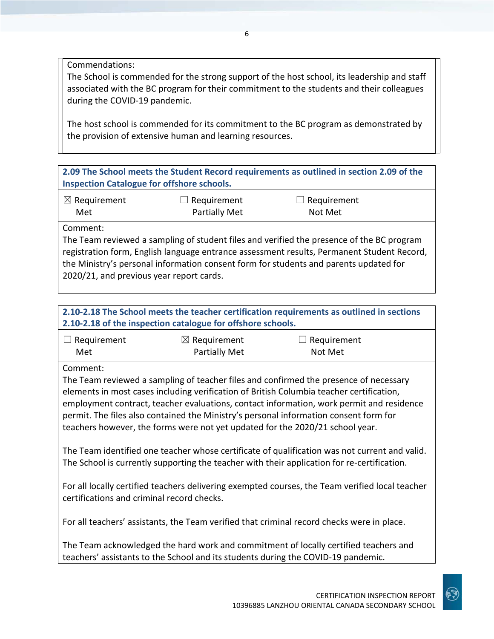Commendations:

The School is commended for the strong support of the host school, its leadership and staff associated with the BC program for their commitment to the students and their colleagues during the COVID-19 pandemic.

The host school is commended for its commitment to the BC program as demonstrated by the provision of extensive human and learning resources.

**2.09 The School meets the Student Record requirements as outlined in section 2.09 of the Inspection Catalogue for offshore schools.**

| $\boxtimes$ Requirement | $\Box$ Requirement   | $\Box$ Requirement |  |
|-------------------------|----------------------|--------------------|--|
| Met                     | <b>Partially Met</b> | Not Met            |  |

Comment:

The Team reviewed a sampling of student files and verified the presence of the BC program registration form, English language entrance assessment results, Permanent Student Record, the Ministry's personal information consent form for students and parents updated for 2020/21, and previous year report cards.

## **2.10-2.18 The School meets the teacher certification requirements as outlined in sections 2.10-2.18 of the inspection catalogue for offshore schools.**

| $\Box$ Requirement | $\boxtimes$ Requirement | $\Box$ Requirement |
|--------------------|-------------------------|--------------------|
| Met                | <b>Partially Met</b>    | Not Met            |

Comment:

The Team reviewed a sampling of teacher files and confirmed the presence of necessary elements in most cases including verification of British Columbia teacher certification, employment contract, teacher evaluations, contact information, work permit and residence permit. The files also contained the Ministry's personal information consent form for teachers however, the forms were not yet updated for the 2020/21 school year.

The Team identified one teacher whose certificate of qualification was not current and valid. The School is currently supporting the teacher with their application for re-certification.

For all locally certified teachers delivering exempted courses, the Team verified local teacher certifications and criminal record checks.

For all teachers' assistants, the Team verified that criminal record checks were in place.

The Team acknowledged the hard work and commitment of locally certified teachers and teachers' assistants to the School and its students during the COVID-19 pandemic.

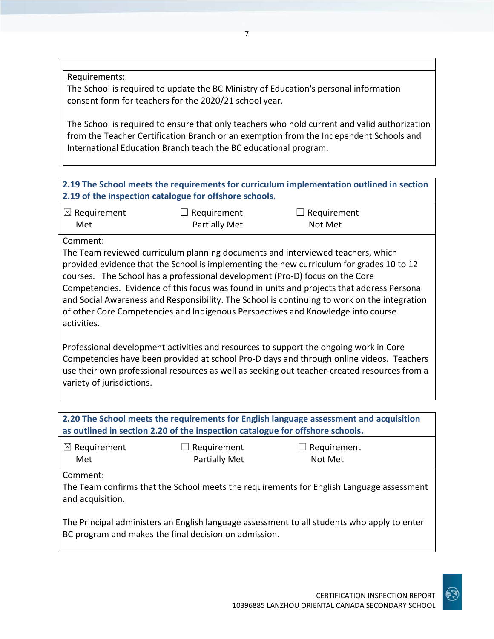Requirements:

The School is required to update the BC Ministry of Education's personal information consent form for teachers for the 2020/21 school year.

The School is required to ensure that only teachers who hold current and valid authorization from the Teacher Certification Branch or an exemption from the Independent Schools and International Education Branch teach the BC educational program.

## **2.19 The School meets the requirements for curriculum implementation outlined in section 2.19 of the inspection catalogue for offshore schools.**

| $\boxtimes$ Requirement | $\Box$ Requirement | $\Box$ Requirement |
|-------------------------|--------------------|--------------------|
| Met                     | Partially Met      | Not Met            |

Comment:

The Team reviewed curriculum planning documents and interviewed teachers, which provided evidence that the School is implementing the new curriculum for grades 10 to 12 courses. The School has a professional development (Pro-D) focus on the Core Competencies. Evidence of this focus was found in units and projects that address Personal and Social Awareness and Responsibility. The School is continuing to work on the integration of other Core Competencies and Indigenous Perspectives and Knowledge into course activities.

Professional development activities and resources to support the ongoing work in Core Competencies have been provided at school Pro-D days and through online videos. Teachers use their own professional resources as well as seeking out teacher-created resources from a variety of jurisdictions.

| 2.20 The School meets the requirements for English language assessment and acquisition<br>as outlined in section 2.20 of the inspection catalogue for offshore schools. |                                     |                                                                                          |  |  |
|-------------------------------------------------------------------------------------------------------------------------------------------------------------------------|-------------------------------------|------------------------------------------------------------------------------------------|--|--|
| $\boxtimes$ Requirement<br>Met                                                                                                                                          | $\Box$ Requirement<br>Partially Met | $\Box$ Requirement<br>Not Met                                                            |  |  |
| Comment:<br>and acquisition.                                                                                                                                            |                                     | The Team confirms that the School meets the requirements for English Language assessment |  |  |
| The Principal administers an English language assessment to all students who apply to enter<br>BC program and makes the final decision on admission.                    |                                     |                                                                                          |  |  |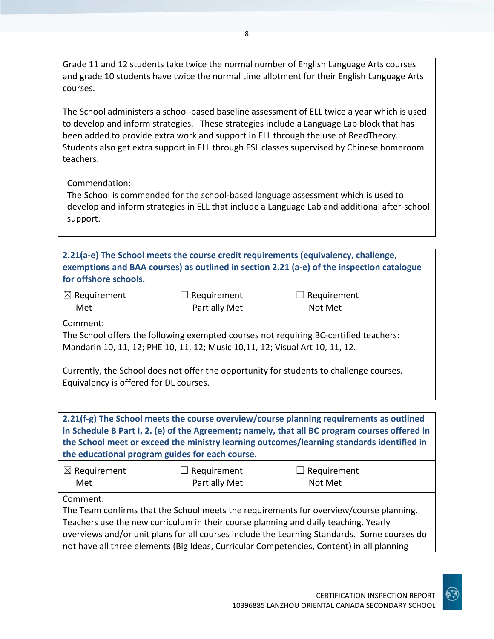Grade 11 and 12 students take twice the normal number of English Language Arts courses and grade 10 students have twice the normal time allotment for their English Language Arts courses.

The School administers a school-based baseline assessment of ELL twice a year which is used to develop and inform strategies. These strategies include a Language Lab block that has been added to provide extra work and support in ELL through the use of ReadTheory. Students also get extra support in ELL through ESL classes supervised by Chinese homeroom teachers.

#### Commendation:

The School is commended for the school-based language assessment which is used to develop and inform strategies in ELL that include a Language Lab and additional after-school support.

**2.21(a-e) The School meets the course credit requirements (equivalency, challenge, exemptions and BAA courses) as outlined in section 2.21 (a-e) of the inspection catalogue for offshore schools.**

| $\boxtimes$ Requirement | $\Box$ Requirement | $\Box$ Requirement |
|-------------------------|--------------------|--------------------|
| Met                     | Partially Met      | Not Met            |

Comment:

The School offers the following exempted courses not requiring BC-certified teachers: Mandarin 10, 11, 12; PHE 10, 11, 12; Music 10,11, 12; Visual Art 10, 11, 12.

Currently, the School does not offer the opportunity for students to challenge courses. Equivalency is offered for DL courses.

**2.21(f-g) The School meets the course overview/course planning requirements as outlined in Schedule B Part I, 2. (e) of the Agreement; namely, that all BC program courses offered in the School meet or exceed the ministry learning outcomes/learning standards identified in the educational program guides for each course.**

| $\boxtimes$ Requirement | $\Box$ Requirement   | $\Box$ Requirement |
|-------------------------|----------------------|--------------------|
| Met                     | <b>Partially Met</b> | Not Met            |

Comment:

The Team confirms that the School meets the requirements for overview/course planning. Teachers use the new curriculum in their course planning and daily teaching. Yearly overviews and/or unit plans for all courses include the Learning Standards. Some courses do not have all three elements (Big Ideas, Curricular Competencies, Content) in all planning

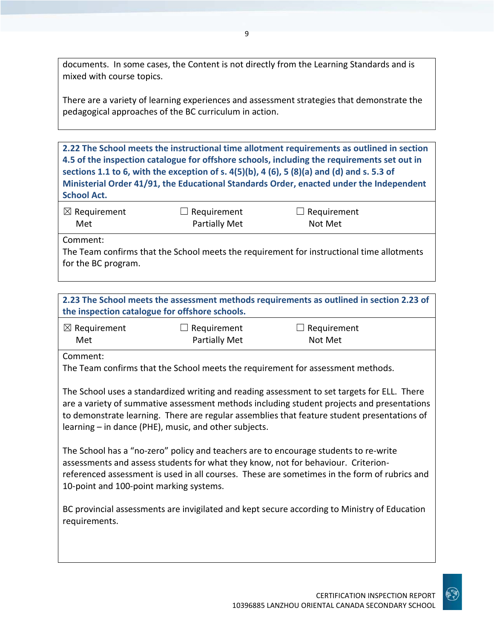documents. In some cases, the Content is not directly from the Learning Standards and is mixed with course topics.

There are a variety of learning experiences and assessment strategies that demonstrate the pedagogical approaches of the BC curriculum in action.

**2.22 The School meets the instructional time allotment requirements as outlined in section 4.5 of the inspection catalogue for offshore schools, including the requirements set out in sections 1.1 to 6, with the exception of s. 4(5)(b), 4 (6), 5 (8)(a) and (d) and s. 5.3 of Ministerial Order 41/91, the Educational Standards Order, enacted under the Independent School Act.**

| $\boxtimes$ Requirement | $\Box$ Requirement   | $\Box$ Requirement |
|-------------------------|----------------------|--------------------|
| Met                     | <b>Partially Met</b> | Not Met            |

Comment:

The Team confirms that the School meets the requirement for instructional time allotments for the BC program.

| 2.23 The School meets the assessment methods requirements as outlined in section 2.23 of |
|------------------------------------------------------------------------------------------|
| the inspection catalogue for offshore schools.                                           |

| $\boxtimes$ Requirement | $\Box$ Requirement   | $\Box$ Requirement |
|-------------------------|----------------------|--------------------|
| Met                     | <b>Partially Met</b> | Not Met            |

Comment:

The Team confirms that the School meets the requirement for assessment methods.

The School uses a standardized writing and reading assessment to set targets for ELL. There are a variety of summative assessment methods including student projects and presentations to demonstrate learning. There are regular assemblies that feature student presentations of learning – in dance (PHE), music, and other subjects.

The School has a "no-zero" policy and teachers are to encourage students to re-write assessments and assess students for what they know, not for behaviour. Criterionreferenced assessment is used in all courses. These are sometimes in the form of rubrics and 10-point and 100-point marking systems.

BC provincial assessments are invigilated and kept secure according to Ministry of Education requirements.

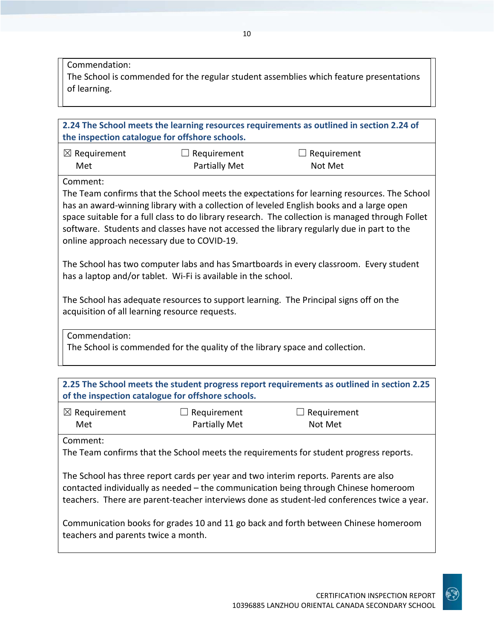Commendation:

The School is commended for the regular student assemblies which feature presentations of learning.

| 2.24 The School meets the learning resources requirements as outlined in section 2.24 of<br>the inspection catalogue for offshore schools.                                                                                                                                                                                                                                                                                                         |                                                                              |                                                                                        |  |
|----------------------------------------------------------------------------------------------------------------------------------------------------------------------------------------------------------------------------------------------------------------------------------------------------------------------------------------------------------------------------------------------------------------------------------------------------|------------------------------------------------------------------------------|----------------------------------------------------------------------------------------|--|
| $\boxtimes$ Requirement<br>Met                                                                                                                                                                                                                                                                                                                                                                                                                     | $\Box$ Requirement<br><b>Partially Met</b>                                   | Requirement<br>Not Met                                                                 |  |
| Comment:<br>The Team confirms that the School meets the expectations for learning resources. The School<br>has an award-winning library with a collection of leveled English books and a large open<br>space suitable for a full class to do library research. The collection is managed through Follet<br>software. Students and classes have not accessed the library regularly due in part to the<br>online approach necessary due to COVID-19. |                                                                              |                                                                                        |  |
|                                                                                                                                                                                                                                                                                                                                                                                                                                                    | has a laptop and/or tablet. Wi-Fi is available in the school.                | The School has two computer labs and has Smartboards in every classroom. Every student |  |
| The School has adequate resources to support learning. The Principal signs off on the<br>acquisition of all learning resource requests.                                                                                                                                                                                                                                                                                                            |                                                                              |                                                                                        |  |
| Commendation:                                                                                                                                                                                                                                                                                                                                                                                                                                      | The School is commended for the quality of the library space and collection. |                                                                                        |  |

| 2.25 The School meets the student progress report requirements as outlined in section 2.25<br>of the inspection catalogue for offshore schools.                                                                                                                            |                                     |                                                                                        |  |
|----------------------------------------------------------------------------------------------------------------------------------------------------------------------------------------------------------------------------------------------------------------------------|-------------------------------------|----------------------------------------------------------------------------------------|--|
| $\boxtimes$ Requirement<br>Met                                                                                                                                                                                                                                             | $\Box$ Requirement<br>Partially Met | Requirement<br>Not Met                                                                 |  |
| Comment:                                                                                                                                                                                                                                                                   |                                     | The Team confirms that the School meets the requirements for student progress reports. |  |
| The School has three report cards per year and two interim reports. Parents are also<br>contacted individually as needed – the communication being through Chinese homeroom<br>teachers. There are parent-teacher interviews done as student-led conferences twice a year. |                                     |                                                                                        |  |
| Communication books for grades 10 and 11 go back and forth between Chinese homeroom<br>teachers and parents twice a month.                                                                                                                                                 |                                     |                                                                                        |  |

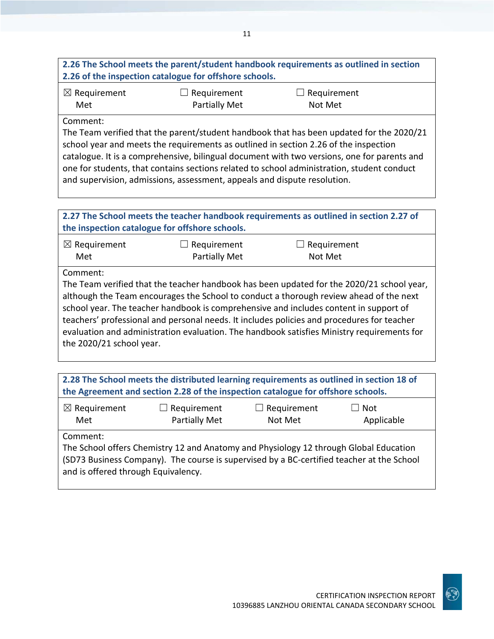## **2.26 The School meets the parent/student handbook requirements as outlined in section 2.26 of the inspection catalogue for offshore schools.**

| $\boxtimes$ Requirement | $\Box$ Requirement   | $\Box$ Requirement |
|-------------------------|----------------------|--------------------|
| Met                     | <b>Partially Met</b> | Not Met            |

#### Comment:

The Team verified that the parent/student handbook that has been updated for the 2020/21 school year and meets the requirements as outlined in section 2.26 of the inspection catalogue. It is a comprehensive, bilingual document with two versions, one for parents and one for students, that contains sections related to school administration, student conduct and supervision, admissions, assessment, appeals and dispute resolution.

| 2.27 The School meets the teacher handbook requirements as outlined in section 2.27 of<br>the inspection catalogue for offshore schools.                                                                                                                                                                                                                                                                                                                                                                         |                                     |                        |  |
|------------------------------------------------------------------------------------------------------------------------------------------------------------------------------------------------------------------------------------------------------------------------------------------------------------------------------------------------------------------------------------------------------------------------------------------------------------------------------------------------------------------|-------------------------------------|------------------------|--|
| $\boxtimes$ Requirement<br>Met                                                                                                                                                                                                                                                                                                                                                                                                                                                                                   | Requirement<br><b>Partially Met</b> | Requirement<br>Not Met |  |
| Comment:<br>The Team verified that the teacher handbook has been updated for the 2020/21 school year,<br>although the Team encourages the School to conduct a thorough review ahead of the next<br>school year. The teacher handbook is comprehensive and includes content in support of<br>teachers' professional and personal needs. It includes policies and procedures for teacher<br>evaluation and administration evaluation. The handbook satisfies Ministry requirements for<br>the 2020/21 school year. |                                     |                        |  |

| 2.28 The School meets the distributed learning requirements as outlined in section 18 of<br>the Agreement and section 2.28 of the inspection catalogue for offshore schools.                                                          |                                     |                               |                          |
|---------------------------------------------------------------------------------------------------------------------------------------------------------------------------------------------------------------------------------------|-------------------------------------|-------------------------------|--------------------------|
| $\boxtimes$ Requirement<br>Met                                                                                                                                                                                                        | $\Box$ Requirement<br>Partially Met | $\Box$ Requirement<br>Not Met | $\Box$ Not<br>Applicable |
| Comment:<br>The School offers Chemistry 12 and Anatomy and Physiology 12 through Global Education<br>(SD73 Business Company). The course is supervised by a BC-certified teacher at the School<br>and is offered through Equivalency. |                                     |                               |                          |

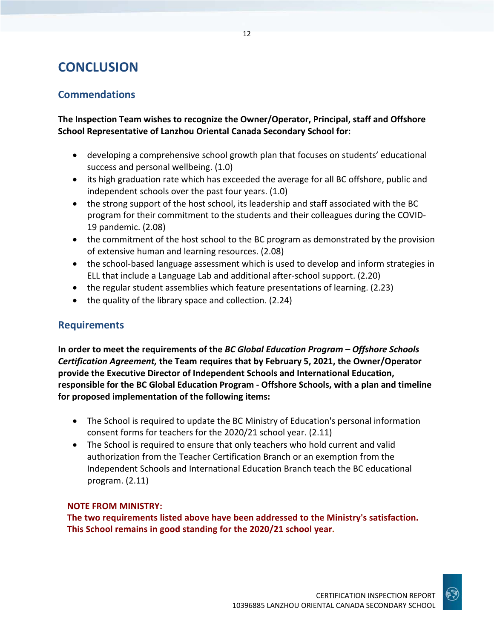## **CONCLUSION**

## **Commendations**

**The Inspection Team wishes to recognize the Owner/Operator, Principal, staff and Offshore School Representative of Lanzhou Oriental Canada Secondary School for:** 

- developing a comprehensive school growth plan that focuses on students' educational success and personal wellbeing. (1.0)
- its high graduation rate which has exceeded the average for all BC offshore, public and independent schools over the past four years. (1.0)
- the strong support of the host school, its leadership and staff associated with the BC program for their commitment to the students and their colleagues during the COVID-19 pandemic. (2.08)
- the commitment of the host school to the BC program as demonstrated by the provision of extensive human and learning resources. (2.08)
- the school-based language assessment which is used to develop and inform strategies in ELL that include a Language Lab and additional after-school support. (2.20)
- the regular student assemblies which feature presentations of learning. (2.23)
- the quality of the library space and collection. (2.24)

## **Requirements**

**In order to meet the requirements of the** *BC Global Education Program – Offshore Schools Certification Agreement,* **the Team requires that by February 5, 2021, the Owner/Operator provide the Executive Director of Independent Schools and International Education, responsible for the BC Global Education Program - Offshore Schools, with a plan and timeline for proposed implementation of the following items:**

- The School is required to update the BC Ministry of Education's personal information consent forms for teachers for the 2020/21 school year. (2.11)
- The School is required to ensure that only teachers who hold current and valid authorization from the Teacher Certification Branch or an exemption from the Independent Schools and International Education Branch teach the BC educational program. (2.11)

#### **NOTE FROM MINISTRY:**

**The two requirements listed above have been addressed to the Ministry's satisfaction. This School remains in good standing for the 2020/21 school year.**